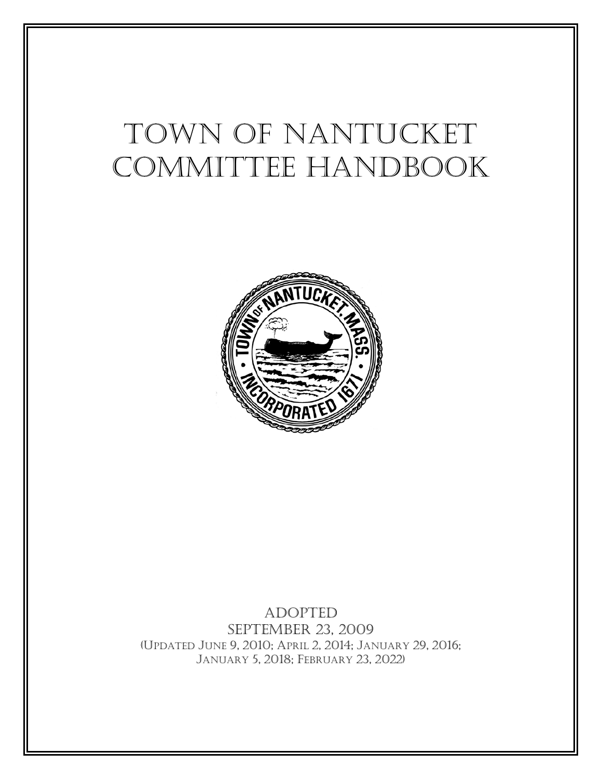# Town of Nantucket COMMITTEE HANDBOOK



Adopted September 23, 2009 (UPDATED JUNE 9, 2010; APRIL 2, 2014; JANUARY 29, 2016; JANUARY 5, 2018; FEBRUARY 23, 2022)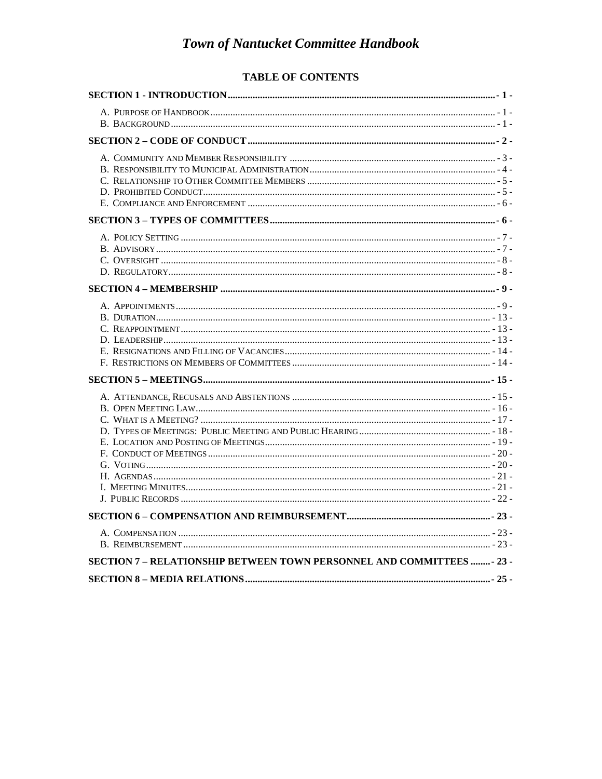#### TABLE OF CONTENTS

| SECTION 7 - RELATIONSHIP BETWEEN TOWN PERSONNEL AND COMMITTEES - 23 - |  |
|-----------------------------------------------------------------------|--|
|                                                                       |  |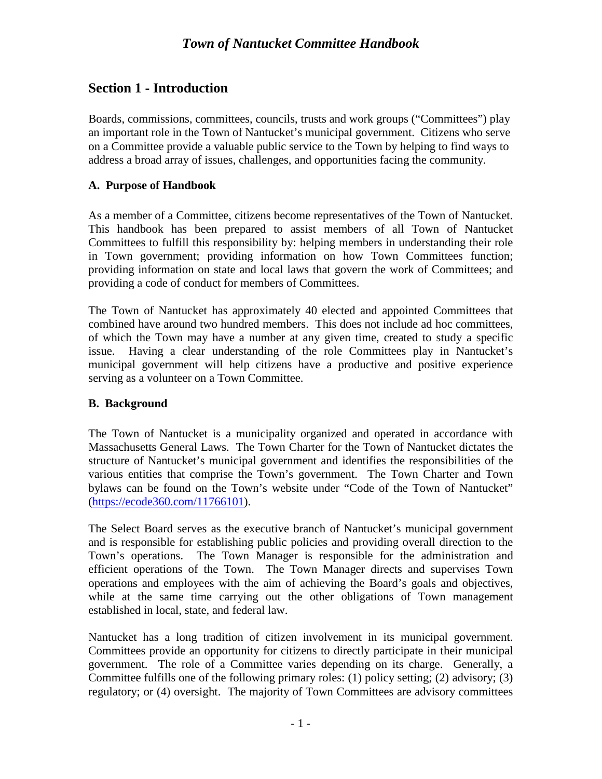## <span id="page-2-0"></span>**Section 1 - Introduction**

Boards, commissions, committees, councils, trusts and work groups ("Committees") play an important role in the Town of Nantucket's municipal government. Citizens who serve on a Committee provide a valuable public service to the Town by helping to find ways to address a broad array of issues, challenges, and opportunities facing the community.

#### <span id="page-2-1"></span>**A. Purpose of Handbook**

As a member of a Committee, citizens become representatives of the Town of Nantucket. This handbook has been prepared to assist members of all Town of Nantucket Committees to fulfill this responsibility by: helping members in understanding their role in Town government; providing information on how Town Committees function; providing information on state and local laws that govern the work of Committees; and providing a code of conduct for members of Committees.

The Town of Nantucket has approximately 40 elected and appointed Committees that combined have around two hundred members. This does not include ad hoc committees, of which the Town may have a number at any given time, created to study a specific issue. Having a clear understanding of the role Committees play in Nantucket's municipal government will help citizens have a productive and positive experience serving as a volunteer on a Town Committee.

#### <span id="page-2-2"></span>**B. Background**

The Town of Nantucket is a municipality organized and operated in accordance with Massachusetts General Laws. The Town Charter for the Town of Nantucket dictates the structure of Nantucket's municipal government and identifies the responsibilities of the various entities that comprise the Town's government. The Town Charter and Town bylaws can be found on the Town's website under "Code of the Town of Nantucket" [\(https://ecode360.com/11766101\)](https://ecode360.com/11766101).

The Select Board serves as the executive branch of Nantucket's municipal government and is responsible for establishing public policies and providing overall direction to the Town's operations. The Town Manager is responsible for the administration and efficient operations of the Town. The Town Manager directs and supervises Town operations and employees with the aim of achieving the Board's goals and objectives, while at the same time carrying out the other obligations of Town management established in local, state, and federal law.

Nantucket has a long tradition of citizen involvement in its municipal government. Committees provide an opportunity for citizens to directly participate in their municipal government. The role of a Committee varies depending on its charge. Generally, a Committee fulfills one of the following primary roles: (1) policy setting; (2) advisory; (3) regulatory; or (4) oversight. The majority of Town Committees are advisory committees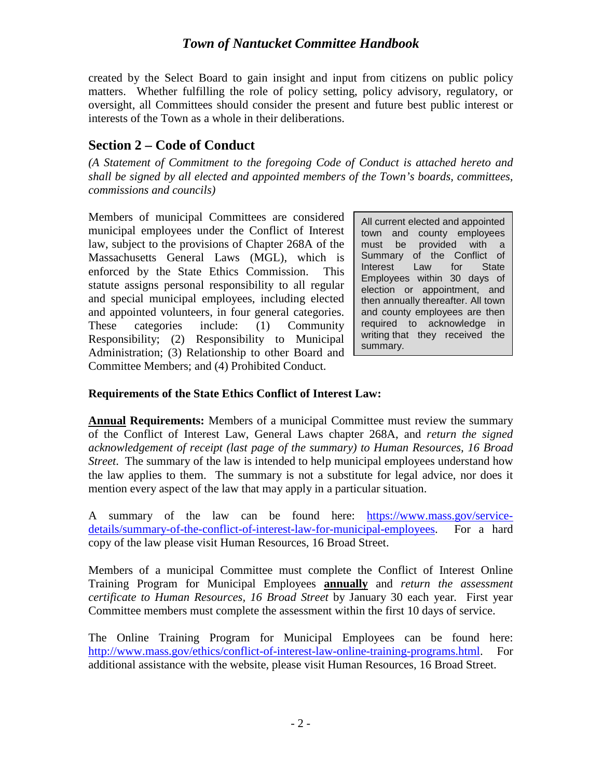created by the Select Board to gain insight and input from citizens on public policy matters. Whether fulfilling the role of policy setting, policy advisory, regulatory, or oversight, all Committees should consider the present and future best public interest or interests of the Town as a whole in their deliberations.

## <span id="page-3-0"></span>**Section 2 – Code of Conduct**

*(A Statement of Commitment to the foregoing Code of Conduct is attached hereto and shall be signed by all elected and appointed members of the Town's boards, committees, commissions and councils)*

Members of municipal Committees are considered municipal employees under the Conflict of Interest law, subject to the provisions of Chapter 268A of the Massachusetts General Laws (MGL), which is enforced by the State Ethics Commission. This statute assigns personal responsibility to all regular and special municipal employees, including elected and appointed volunteers, in four general categories. These categories include: (1) Community Responsibility; (2) Responsibility to Municipal Administration; (3) Relationship to other Board and Committee Members; and (4) Prohibited Conduct.

All current elected and appointed town and county employees must be provided with a Summary of the Conflict of Interest Law for State Employees within 30 days of election or appointment, and then annually thereafter. All town and county employees are then required to acknowledge in writing that they received the summary.

## **Requirements of the State Ethics Conflict of Interest Law:**

**Annual Requirements:** Members of a municipal Committee must review the summary of the Conflict of Interest Law, General Laws chapter 268A, and *return the signed acknowledgement of receipt (last page of the summary) to Human Resources, 16 Broad Street*. The summary of the law is intended to help municipal employees understand how the law applies to them. The summary is not a substitute for legal advice, nor does it mention every aspect of the law that may apply in a particular situation.

A summary of the law can be found here: [https://www.mass.gov/service](https://www.mass.gov/service-details/summary-of-the-conflict-of-interest-law-for-municipal-employees)[details/summary-of-the-conflict-of-interest-law-for-municipal-employees.](https://www.mass.gov/service-details/summary-of-the-conflict-of-interest-law-for-municipal-employees) For a hard copy of the law please visit Human Resources, 16 Broad Street.

Members of a municipal Committee must complete the Conflict of Interest Online Training Program for Municipal Employees **annually** and *return the assessment certificate to Human Resources, 16 Broad Street* by January 30 each year*.* First year Committee members must complete the assessment within the first 10 days of service.

The Online Training Program for Municipal Employees can be found here: [http://www.mass.gov/ethics/conflict-of-interest-law-online-training-programs.html.](http://www.mass.gov/ethics/conflict-of-interest-law-online-training-programs.html) For additional assistance with the website, please visit Human Resources, 16 Broad Street.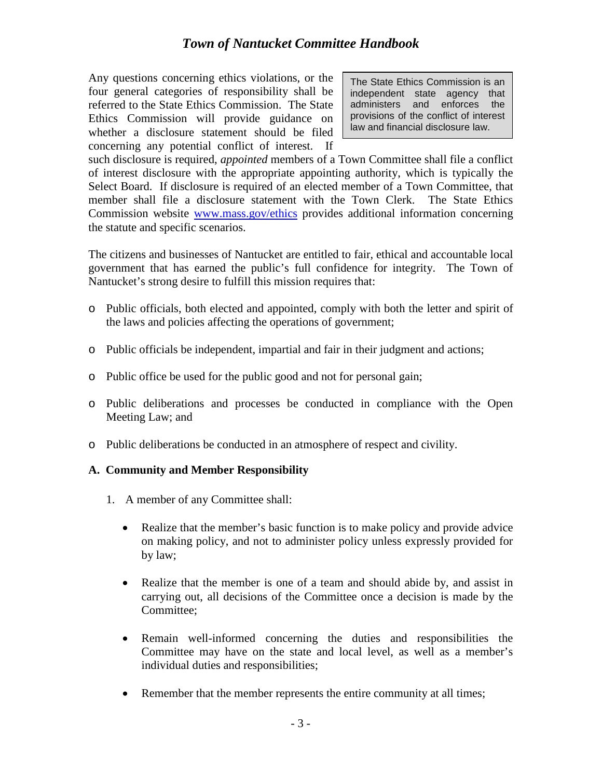Any questions concerning ethics violations, or the four general categories of responsibility shall be referred to the State Ethics Commission. The State Ethics Commission will provide guidance on whether a disclosure statement should be filed concerning any potential conflict of interest. If

The State Ethics Commission is an independent state agency that administers and enforces the provisions of the conflict of interest law and financial disclosure law.

such disclosure is required, *appointed* members of a Town Committee shall file a conflict of interest disclosure with the appropriate appointing authority, which is typically the Select Board. If disclosure is required of an elected member of a Town Committee, that member shall file a disclosure statement with the Town Clerk. The State Ethics Commission website [www.mass.gov/ethics](http://www.mass.gov/ethics) provides additional information concerning the statute and specific scenarios.

The citizens and businesses of Nantucket are entitled to fair, ethical and accountable local government that has earned the public's full confidence for integrity. The Town of Nantucket's strong desire to fulfill this mission requires that:

- o Public officials, both elected and appointed, comply with both the letter and spirit of the laws and policies affecting the operations of government;
- o Public officials be independent, impartial and fair in their judgment and actions;
- o Public office be used for the public good and not for personal gain;
- o Public deliberations and processes be conducted in compliance with the Open Meeting Law; and
- <span id="page-4-0"></span>o Public deliberations be conducted in an atmosphere of respect and civility.

#### **A. Community and Member Responsibility**

- 1. A member of any Committee shall:
	- Realize that the member's basic function is to make policy and provide advice on making policy, and not to administer policy unless expressly provided for by law;
	- Realize that the member is one of a team and should abide by, and assist in carrying out, all decisions of the Committee once a decision is made by the Committee;
	- Remain well-informed concerning the duties and responsibilities the Committee may have on the state and local level, as well as a member's individual duties and responsibilities;
	- Remember that the member represents the entire community at all times;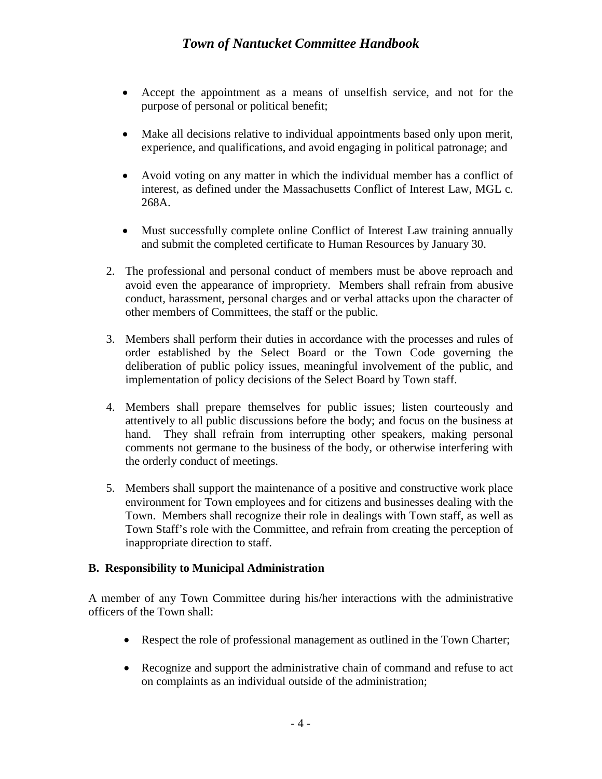- Accept the appointment as a means of unselfish service, and not for the purpose of personal or political benefit;
- Make all decisions relative to individual appointments based only upon merit, experience, and qualifications, and avoid engaging in political patronage; and
- Avoid voting on any matter in which the individual member has a conflict of interest, as defined under the Massachusetts Conflict of Interest Law, MGL c. 268A.
- Must successfully complete online Conflict of Interest Law training annually and submit the completed certificate to Human Resources by January 30.
- 2. The professional and personal conduct of members must be above reproach and avoid even the appearance of impropriety. Members shall refrain from abusive conduct, harassment, personal charges and or verbal attacks upon the character of other members of Committees, the staff or the public.
- 3. Members shall perform their duties in accordance with the processes and rules of order established by the Select Board or the Town Code governing the deliberation of public policy issues, meaningful involvement of the public, and implementation of policy decisions of the Select Board by Town staff.
- 4. Members shall prepare themselves for public issues; listen courteously and attentively to all public discussions before the body; and focus on the business at hand. They shall refrain from interrupting other speakers, making personal comments not germane to the business of the body, or otherwise interfering with the orderly conduct of meetings.
- 5. Members shall support the maintenance of a positive and constructive work place environment for Town employees and for citizens and businesses dealing with the Town. Members shall recognize their role in dealings with Town staff, as well as Town Staff's role with the Committee, and refrain from creating the perception of inappropriate direction to staff.

## <span id="page-5-0"></span>**B. Responsibility to Municipal Administration**

A member of any Town Committee during his/her interactions with the administrative officers of the Town shall:

- Respect the role of professional management as outlined in the Town Charter;
- Recognize and support the administrative chain of command and refuse to act on complaints as an individual outside of the administration;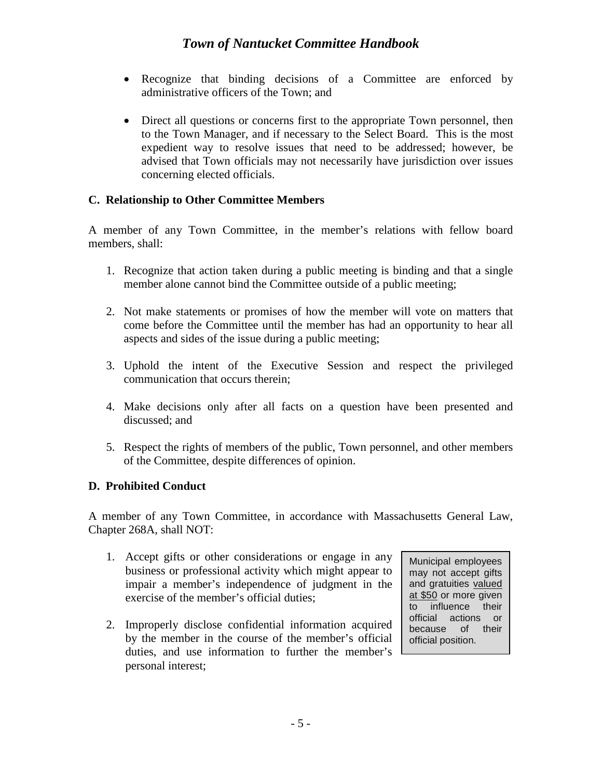- Recognize that binding decisions of a Committee are enforced by administrative officers of the Town; and
- Direct all questions or concerns first to the appropriate Town personnel, then to the Town Manager, and if necessary to the Select Board. This is the most expedient way to resolve issues that need to be addressed; however, be advised that Town officials may not necessarily have jurisdiction over issues concerning elected officials.

#### <span id="page-6-0"></span>**C. Relationship to Other Committee Members**

A member of any Town Committee, in the member's relations with fellow board members, shall:

- 1. Recognize that action taken during a public meeting is binding and that a single member alone cannot bind the Committee outside of a public meeting;
- 2. Not make statements or promises of how the member will vote on matters that come before the Committee until the member has had an opportunity to hear all aspects and sides of the issue during a public meeting;
- 3. Uphold the intent of the Executive Session and respect the privileged communication that occurs therein;
- 4. Make decisions only after all facts on a question have been presented and discussed; and
- 5. Respect the rights of members of the public, Town personnel, and other members of the Committee, despite differences of opinion.

#### <span id="page-6-1"></span>**D. Prohibited Conduct**

A member of any Town Committee, in accordance with Massachusetts General Law, Chapter 268A, shall NOT:

- 1. Accept gifts or other considerations or engage in any business or professional activity which might appear to impair a member's independence of judgment in the exercise of the member's official duties;
- 2. Improperly disclose confidential information acquired by the member in the course of the member's official duties, and use information to further the member's personal interest;

Municipal employees may not accept gifts and gratuities valued at \$50 or more given to influence their official actions or because of their official position.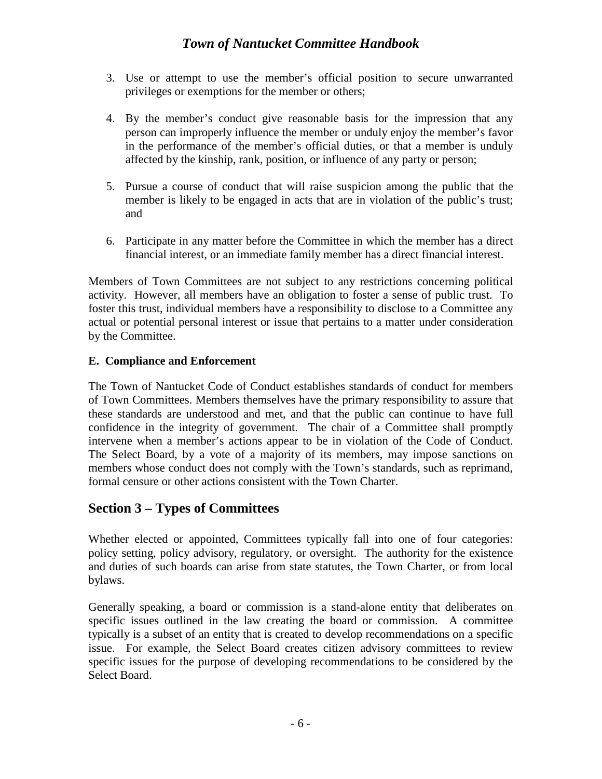- 3. Use or attempt to use the member's official position to secure unwarranted privileges or exemptions for the member or others;
- 4. By the member's conduct give reasonable basis for the impression that any person can improperly influence the member or unduly enjoy the member's favor in the performance of the member's official duties, or that a member is unduly affected by the kinship, rank, position, or influence of any party or person;
- 5. Pursue a course of conduct that will raise suspicion among the public that the member is likely to be engaged in acts that are in violation of the public's trust; and
- 6. Participate in any matter before the Committee in which the member has a direct financial interest, or an immediate family member has a direct financial interest.

Members of Town Committees are not subject to any restrictions concerning political activity. However, all members have an obligation to foster a sense of public trust. To foster this trust, individual members have a responsibility to disclose to a Committee any actual or potential personal interest or issue that pertains to a matter under consideration by the Committee.

#### <span id="page-7-0"></span>**E. Compliance and Enforcement**

The Town of Nantucket Code of Conduct establishes standards of conduct for members of Town Committees. Members themselves have the primary responsibility to assure that these standards are understood and met, and that the public can continue to have full confidence in the integrity of government. The chair of a Committee shall promptly intervene when a member's actions appear to be in violation of the Code of Conduct. The Select Board, by a vote of a majority of its members, may impose sanctions on members whose conduct does not comply with the Town's standards, such as reprimand, formal censure or other actions consistent with the Town Charter.

## <span id="page-7-1"></span>**Section 3 – Types of Committees**

Whether elected or appointed, Committees typically fall into one of four categories: policy setting, policy advisory, regulatory, or oversight. The authority for the existence and duties of such boards can arise from state statutes, the Town Charter, or from local bylaws.

Generally speaking, a board or commission is a stand-alone entity that deliberates on specific issues outlined in the law creating the board or commission. A committee typically is a subset of an entity that is created to develop recommendations on a specific issue. For example, the Select Board creates citizen advisory committees to review specific issues for the purpose of developing recommendations to be considered by the Select Board.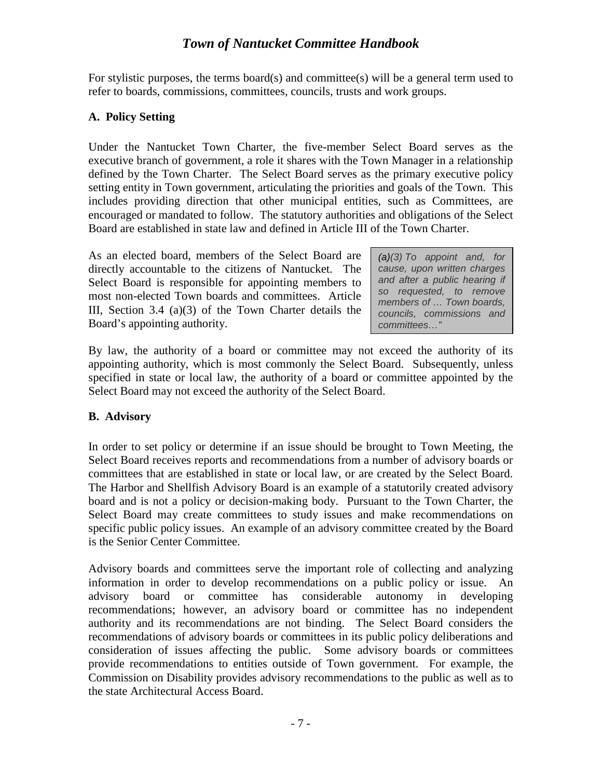For stylistic purposes, the terms board(s) and committee(s) will be a general term used to refer to boards, commissions, committees, councils, trusts and work groups.

#### <span id="page-8-0"></span>**A. Policy Setting**

Under the Nantucket Town Charter, the five-member Select Board serves as the executive branch of government, a role it shares with the Town Manager in a relationship defined by the Town Charter. The Select Board serves as the primary executive policy setting entity in Town government, articulating the priorities and goals of the Town. This includes providing direction that other municipal entities, such as Committees, are encouraged or mandated to follow. The statutory authorities and obligations of the Select Board are established in state law and defined in Article III of the Town Charter.

As an elected board, members of the Select Board are directly accountable to the citizens of Nantucket. The Select Board is responsible for appointing members to most non-elected Town boards and committees. Article III, Section 3.4 (a)(3) of the Town Charter details the Board's appointing authority.

*(a[\)\(3\)](https://ecode360.com/31938129#31938129) To appoint and, for cause, upon written charges and after a public hearing if so requested, to remove members of … Town boards, councils, commissions and committees…"*

By law, the authority of a board or committee may not exceed the authority of its appointing authority, which is most commonly the Select Board. Subsequently, unless specified in state or local law, the authority of a board or committee appointed by the Select Board may not exceed the authority of the Select Board.

#### <span id="page-8-1"></span>**B. Advisory**

In order to set policy or determine if an issue should be brought to Town Meeting, the Select Board receives reports and recommendations from a number of advisory boards or committees that are established in state or local law, or are created by the Select Board. The Harbor and Shellfish Advisory Board is an example of a statutorily created advisory board and is not a policy or decision-making body. Pursuant to the Town Charter, the Select Board may create committees to study issues and make recommendations on specific public policy issues. An example of an advisory committee created by the Board is the Senior Center Committee.

Advisory boards and committees serve the important role of collecting and analyzing information in order to develop recommendations on a public policy or issue. An advisory board or committee has considerable autonomy in developing recommendations; however, an advisory board or committee has no independent authority and its recommendations are not binding. The Select Board considers the recommendations of advisory boards or committees in its public policy deliberations and consideration of issues affecting the public. Some advisory boards or committees provide recommendations to entities outside of Town government. For example, the Commission on Disability provides advisory recommendations to the public as well as to the state Architectural Access Board.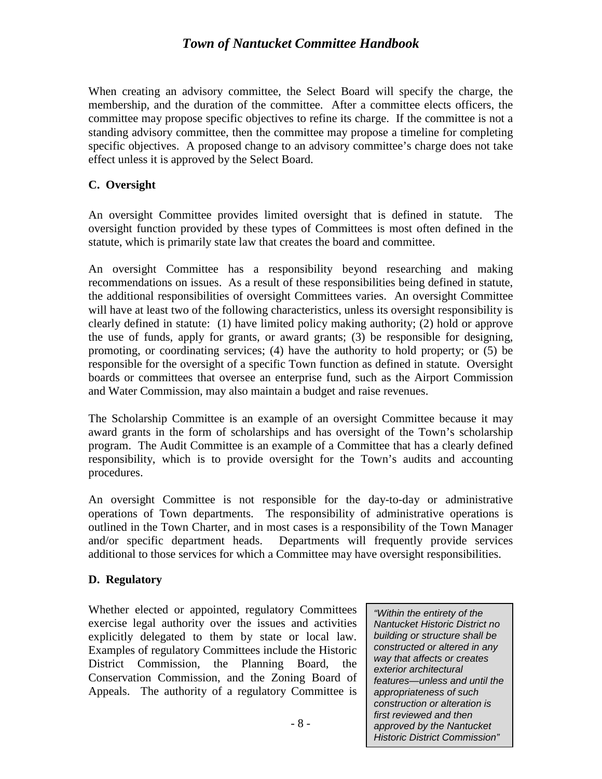When creating an advisory committee, the Select Board will specify the charge, the membership, and the duration of the committee. After a committee elects officers, the committee may propose specific objectives to refine its charge. If the committee is not a standing advisory committee, then the committee may propose a timeline for completing specific objectives. A proposed change to an advisory committee's charge does not take effect unless it is approved by the Select Board.

#### <span id="page-9-0"></span>**C. Oversight**

An oversight Committee provides limited oversight that is defined in statute. The oversight function provided by these types of Committees is most often defined in the statute, which is primarily state law that creates the board and committee.

An oversight Committee has a responsibility beyond researching and making recommendations on issues. As a result of these responsibilities being defined in statute, the additional responsibilities of oversight Committees varies. An oversight Committee will have at least two of the following characteristics, unless its oversight responsibility is clearly defined in statute: (1) have limited policy making authority; (2) hold or approve the use of funds, apply for grants, or award grants; (3) be responsible for designing, promoting, or coordinating services; (4) have the authority to hold property; or (5) be responsible for the oversight of a specific Town function as defined in statute. Oversight boards or committees that oversee an enterprise fund, such as the Airport Commission and Water Commission, may also maintain a budget and raise revenues.

The Scholarship Committee is an example of an oversight Committee because it may award grants in the form of scholarships and has oversight of the Town's scholarship program. The Audit Committee is an example of a Committee that has a clearly defined responsibility, which is to provide oversight for the Town's audits and accounting procedures.

An oversight Committee is not responsible for the day-to-day or administrative operations of Town departments. The responsibility of administrative operations is outlined in the Town Charter, and in most cases is a responsibility of the Town Manager and/or specific department heads. Departments will frequently provide services additional to those services for which a Committee may have oversight responsibilities.

#### <span id="page-9-1"></span>**D. Regulatory**

Whether elected or appointed, regulatory Committees exercise legal authority over the issues and activities explicitly delegated to them by state or local law. Examples of regulatory Committees include the Historic District Commission, the Planning Board, the Conservation Commission, and the Zoning Board of Appeals. The authority of a regulatory Committee is

*"Within the entirety of the Nantucket Historic District no building or structure shall be constructed or altered in any way that affects or creates exterior architectural features—unless and until the appropriateness of such construction or alteration is first reviewed and then approved by the Nantucket Historic District Commission"*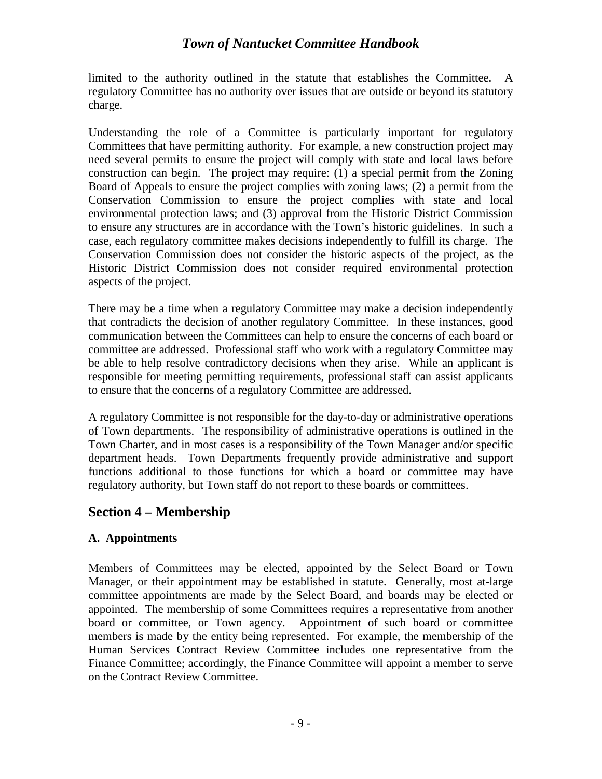limited to the authority outlined in the statute that establishes the Committee. A regulatory Committee has no authority over issues that are outside or beyond its statutory charge.

Understanding the role of a Committee is particularly important for regulatory Committees that have permitting authority. For example, a new construction project may need several permits to ensure the project will comply with state and local laws before construction can begin. The project may require: (1) a special permit from the Zoning Board of Appeals to ensure the project complies with zoning laws; (2) a permit from the Conservation Commission to ensure the project complies with state and local environmental protection laws; and (3) approval from the Historic District Commission to ensure any structures are in accordance with the Town's historic guidelines. In such a case, each regulatory committee makes decisions independently to fulfill its charge. The Conservation Commission does not consider the historic aspects of the project, as the Historic District Commission does not consider required environmental protection aspects of the project.

There may be a time when a regulatory Committee may make a decision independently that contradicts the decision of another regulatory Committee. In these instances, good communication between the Committees can help to ensure the concerns of each board or committee are addressed. Professional staff who work with a regulatory Committee may be able to help resolve contradictory decisions when they arise. While an applicant is responsible for meeting permitting requirements, professional staff can assist applicants to ensure that the concerns of a regulatory Committee are addressed.

A regulatory Committee is not responsible for the day-to-day or administrative operations of Town departments. The responsibility of administrative operations is outlined in the Town Charter, and in most cases is a responsibility of the Town Manager and/or specific department heads. Town Departments frequently provide administrative and support functions additional to those functions for which a board or committee may have regulatory authority, but Town staff do not report to these boards or committees.

## <span id="page-10-0"></span>**Section 4 – Membership**

#### <span id="page-10-1"></span>**A. Appointments**

Members of Committees may be elected, appointed by the Select Board or Town Manager, or their appointment may be established in statute. Generally, most at-large committee appointments are made by the Select Board, and boards may be elected or appointed. The membership of some Committees requires a representative from another board or committee, or Town agency. Appointment of such board or committee members is made by the entity being represented. For example, the membership of the Human Services Contract Review Committee includes one representative from the Finance Committee; accordingly, the Finance Committee will appoint a member to serve on the Contract Review Committee.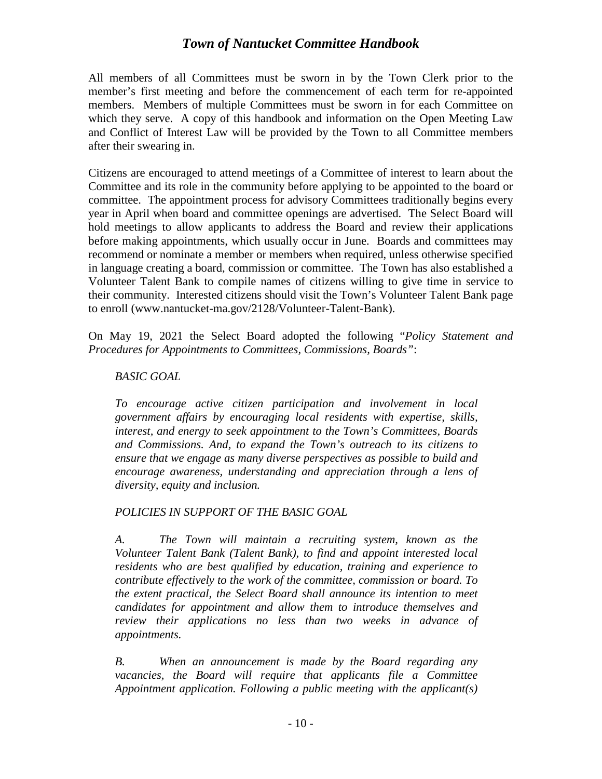All members of all Committees must be sworn in by the Town Clerk prior to the member's first meeting and before the commencement of each term for re-appointed members. Members of multiple Committees must be sworn in for each Committee on which they serve. A copy of this handbook and information on the Open Meeting Law and Conflict of Interest Law will be provided by the Town to all Committee members after their swearing in.

Citizens are encouraged to attend meetings of a Committee of interest to learn about the Committee and its role in the community before applying to be appointed to the board or committee. The appointment process for advisory Committees traditionally begins every year in April when board and committee openings are advertised. The Select Board will hold meetings to allow applicants to address the Board and review their applications before making appointments, which usually occur in June. Boards and committees may recommend or nominate a member or members when required, unless otherwise specified in language creating a board, commission or committee. The Town has also established a Volunteer Talent Bank to compile names of citizens willing to give time in service to their community. Interested citizens should visit the Town's Volunteer Talent Bank page to enroll (www.nantucket-ma.gov/2128/Volunteer-Talent-Bank).

On May 19, 2021 the Select Board adopted the following "*Policy Statement and Procedures for Appointments to Committees, Commissions, Boards"*:

#### *BASIC GOAL*

*To encourage active citizen participation and involvement in local government affairs by encouraging local residents with expertise, skills, interest, and energy to seek appointment to the Town's Committees, Boards and Commissions. And, to expand the Town's outreach to its citizens to ensure that we engage as many diverse perspectives as possible to build and encourage awareness, understanding and appreciation through a lens of diversity, equity and inclusion.*

#### *POLICIES IN SUPPORT OF THE BASIC GOAL*

*A. The Town will maintain a recruiting system, known as the Volunteer Talent Bank (Talent Bank), to find and appoint interested local residents who are best qualified by education, training and experience to contribute effectively to the work of the committee, commission or board. To the extent practical, the Select Board shall announce its intention to meet candidates for appointment and allow them to introduce themselves and review their applications no less than two weeks in advance of appointments.*

*B. When an announcement is made by the Board regarding any vacancies, the Board will require that applicants file a Committee Appointment application. Following a public meeting with the applicant(s)*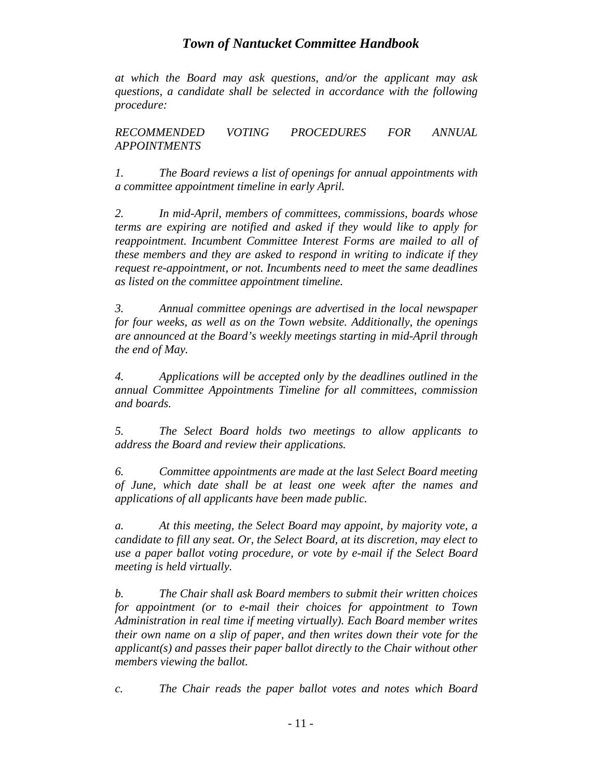*at which the Board may ask questions, and/or the applicant may ask questions, a candidate shall be selected in accordance with the following procedure:*

*RECOMMENDED VOTING PROCEDURES FOR ANNUAL APPOINTMENTS*

*1. The Board reviews a list of openings for annual appointments with a committee appointment timeline in early April.*

*2. In mid-April, members of committees, commissions, boards whose terms are expiring are notified and asked if they would like to apply for reappointment. Incumbent Committee Interest Forms are mailed to all of these members and they are asked to respond in writing to indicate if they request re-appointment, or not. Incumbents need to meet the same deadlines as listed on the committee appointment timeline.*

*3. Annual committee openings are advertised in the local newspaper for four weeks, as well as on the Town website. Additionally, the openings are announced at the Board's weekly meetings starting in mid-April through the end of May.*

*4. Applications will be accepted only by the deadlines outlined in the annual Committee Appointments Timeline for all committees, commission and boards.*

*5. The Select Board holds two meetings to allow applicants to address the Board and review their applications.*

*6. Committee appointments are made at the last Select Board meeting of June, which date shall be at least one week after the names and applications of all applicants have been made public.*

*a. At this meeting, the Select Board may appoint, by majority vote, a candidate to fill any seat. Or, the Select Board, at its discretion, may elect to use a paper ballot voting procedure, or vote by e-mail if the Select Board meeting is held virtually.*

*b. The Chair shall ask Board members to submit their written choices for appointment (or to e-mail their choices for appointment to Town Administration in real time if meeting virtually). Each Board member writes their own name on a slip of paper, and then writes down their vote for the applicant(s) and passes their paper ballot directly to the Chair without other members viewing the ballot.*

*c. The Chair reads the paper ballot votes and notes which Board*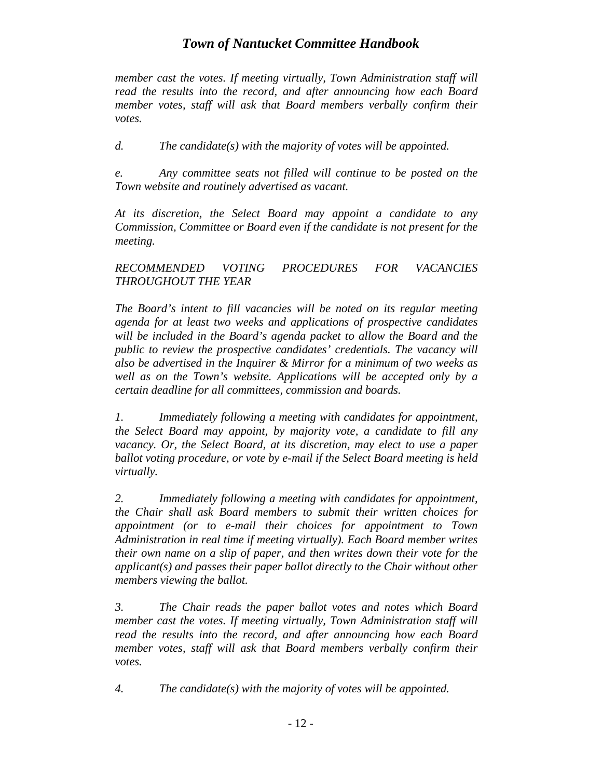*member cast the votes. If meeting virtually, Town Administration staff will read the results into the record, and after announcing how each Board member votes, staff will ask that Board members verbally confirm their votes.*

*d. The candidate(s) with the majority of votes will be appointed.*

*e. Any committee seats not filled will continue to be posted on the Town website and routinely advertised as vacant.*

*At its discretion, the Select Board may appoint a candidate to any Commission, Committee or Board even if the candidate is not present for the meeting.* 

#### *RECOMMENDED VOTING PROCEDURES FOR VACANCIES THROUGHOUT THE YEAR*

*The Board's intent to fill vacancies will be noted on its regular meeting agenda for at least two weeks and applications of prospective candidates will be included in the Board's agenda packet to allow the Board and the public to review the prospective candidates' credentials. The vacancy will also be advertised in the Inquirer & Mirror for a minimum of two weeks as well as on the Town's website. Applications will be accepted only by a certain deadline for all committees, commission and boards.*

*1. Immediately following a meeting with candidates for appointment, the Select Board may appoint, by majority vote, a candidate to fill any vacancy. Or, the Select Board, at its discretion, may elect to use a paper ballot voting procedure, or vote by e-mail if the Select Board meeting is held virtually.*

*2. Immediately following a meeting with candidates for appointment, the Chair shall ask Board members to submit their written choices for appointment (or to e-mail their choices for appointment to Town Administration in real time if meeting virtually). Each Board member writes their own name on a slip of paper, and then writes down their vote for the applicant(s) and passes their paper ballot directly to the Chair without other members viewing the ballot.*

*3. The Chair reads the paper ballot votes and notes which Board member cast the votes. If meeting virtually, Town Administration staff will read the results into the record, and after announcing how each Board member votes, staff will ask that Board members verbally confirm their votes.*

*4. The candidate(s) with the majority of votes will be appointed.*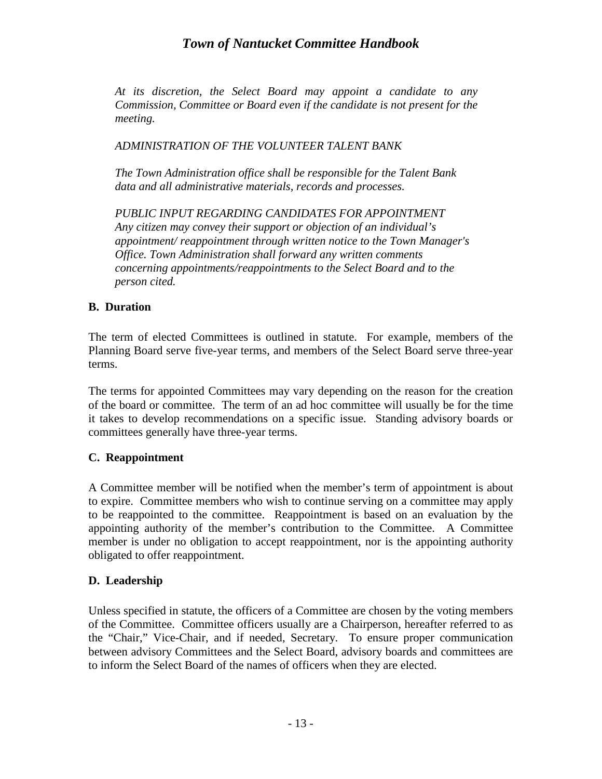*At its discretion, the Select Board may appoint a candidate to any Commission, Committee or Board even if the candidate is not present for the meeting.* 

*ADMINISTRATION OF THE VOLUNTEER TALENT BANK*

*The Town Administration office shall be responsible for the Talent Bank data and all administrative materials, records and processes.*

*PUBLIC INPUT REGARDING CANDIDATES FOR APPOINTMENT Any citizen may convey their support or objection of an individual's appointment/ reappointment through written notice to the Town Manager's Office. Town Administration shall forward any written comments concerning appointments/reappointments to the Select Board and to the person cited.*

#### <span id="page-14-0"></span>**B. Duration**

The term of elected Committees is outlined in statute. For example, members of the Planning Board serve five-year terms, and members of the Select Board serve three-year terms.

The terms for appointed Committees may vary depending on the reason for the creation of the board or committee. The term of an ad hoc committee will usually be for the time it takes to develop recommendations on a specific issue. Standing advisory boards or committees generally have three-year terms.

#### <span id="page-14-1"></span>**C. Reappointment**

A Committee member will be notified when the member's term of appointment is about to expire. Committee members who wish to continue serving on a committee may apply to be reappointed to the committee. Reappointment is based on an evaluation by the appointing authority of the member's contribution to the Committee. A Committee member is under no obligation to accept reappointment, nor is the appointing authority obligated to offer reappointment.

#### <span id="page-14-2"></span>**D. Leadership**

Unless specified in statute, the officers of a Committee are chosen by the voting members of the Committee. Committee officers usually are a Chairperson, hereafter referred to as the "Chair," Vice-Chair, and if needed, Secretary. To ensure proper communication between advisory Committees and the Select Board, advisory boards and committees are to inform the Select Board of the names of officers when they are elected.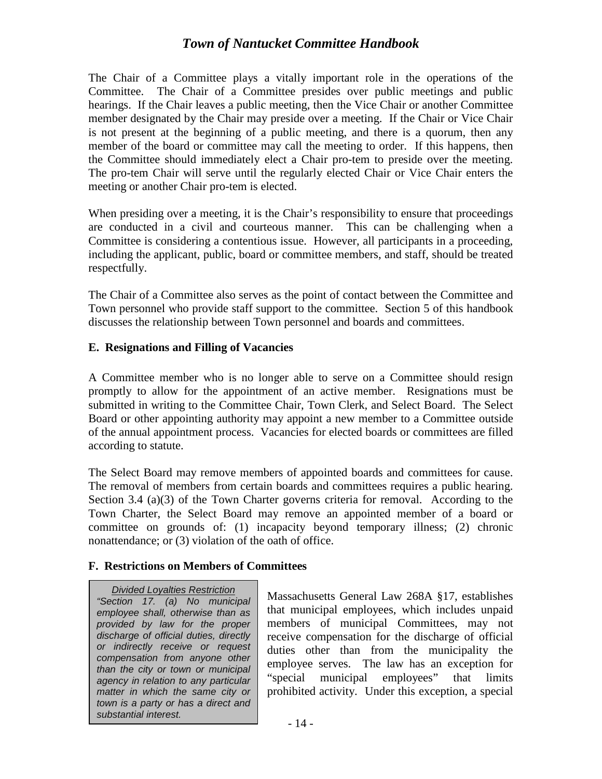The Chair of a Committee plays a vitally important role in the operations of the Committee. The Chair of a Committee presides over public meetings and public hearings. If the Chair leaves a public meeting, then the Vice Chair or another Committee member designated by the Chair may preside over a meeting. If the Chair or Vice Chair is not present at the beginning of a public meeting, and there is a quorum, then any member of the board or committee may call the meeting to order. If this happens, then the Committee should immediately elect a Chair pro-tem to preside over the meeting. The pro-tem Chair will serve until the regularly elected Chair or Vice Chair enters the meeting or another Chair pro-tem is elected.

When presiding over a meeting, it is the Chair's responsibility to ensure that proceedings are conducted in a civil and courteous manner. This can be challenging when a Committee is considering a contentious issue. However, all participants in a proceeding, including the applicant, public, board or committee members, and staff, should be treated respectfully.

The Chair of a Committee also serves as the point of contact between the Committee and Town personnel who provide staff support to the committee. Section 5 of this handbook discusses the relationship between Town personnel and boards and committees.

#### <span id="page-15-0"></span>**E. Resignations and Filling of Vacancies**

A Committee member who is no longer able to serve on a Committee should resign promptly to allow for the appointment of an active member. Resignations must be submitted in writing to the Committee Chair, Town Clerk, and Select Board. The Select Board or other appointing authority may appoint a new member to a Committee outside of the annual appointment process. Vacancies for elected boards or committees are filled according to statute.

The Select Board may remove members of appointed boards and committees for cause. The removal of members from certain boards and committees requires a public hearing. Section 3.4 (a)(3) of the Town Charter governs criteria for removal. According to the Town Charter, the Select Board may remove an appointed member of a board or committee on grounds of: (1) incapacity beyond temporary illness; (2) chronic nonattendance; or (3) violation of the oath of office.

#### <span id="page-15-1"></span>**F. Restrictions on Members of Committees**

*Divided Loyalties Restriction "Section 17. (a) No municipal employee shall, otherwise than as provided by law for the proper discharge of official duties, directly or indirectly receive or request compensation from anyone other than the city or town or municipal agency in relation to any particular matter in which the same city or town is a party or has a direct and substantial interest.*

Massachusetts General Law 268A §17, establishes that municipal employees, which includes unpaid members of municipal Committees, may not receive compensation for the discharge of official duties other than from the municipality the employee serves. The law has an exception for "special municipal employees" that limits prohibited activity. Under this exception, a special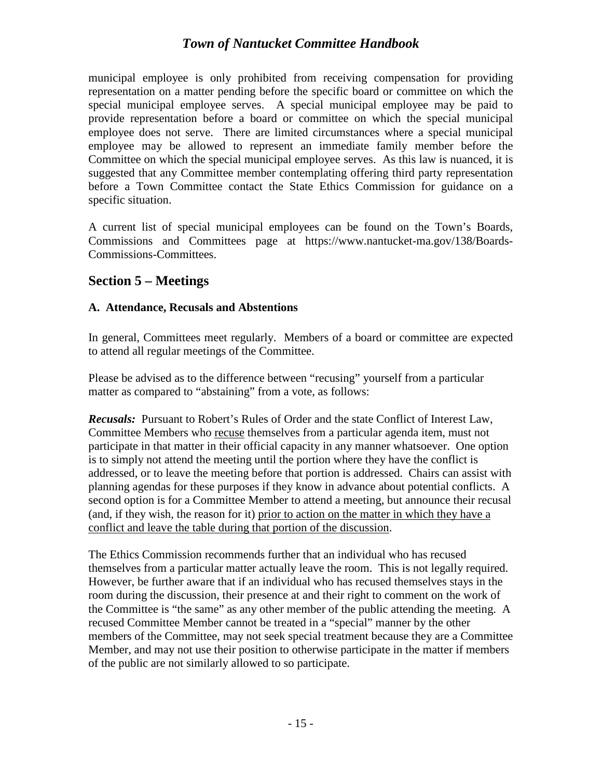municipal employee is only prohibited from receiving compensation for providing representation on a matter pending before the specific board or committee on which the special municipal employee serves. A special municipal employee may be paid to provide representation before a board or committee on which the special municipal employee does not serve. There are limited circumstances where a special municipal employee may be allowed to represent an immediate family member before the Committee on which the special municipal employee serves. As this law is nuanced, it is suggested that any Committee member contemplating offering third party representation before a Town Committee contact the State Ethics Commission for guidance on a specific situation.

A current list of special municipal employees can be found on the Town's Boards, Commissions and Committees page at https://www.nantucket-ma.gov/138/Boards-Commissions-Committees.

## <span id="page-16-0"></span>**Section 5 – Meetings**

#### <span id="page-16-1"></span>**A. Attendance, Recusals and Abstentions**

In general, Committees meet regularly. Members of a board or committee are expected to attend all regular meetings of the Committee.

Please be advised as to the difference between "recusing" yourself from a particular matter as compared to "abstaining" from a vote, as follows:

*Recusals:* Pursuant to Robert's Rules of Order and the state Conflict of Interest Law, Committee Members who recuse themselves from a particular agenda item, must not participate in that matter in their official capacity in any manner whatsoever. One option is to simply not attend the meeting until the portion where they have the conflict is addressed, or to leave the meeting before that portion is addressed. Chairs can assist with planning agendas for these purposes if they know in advance about potential conflicts. A second option is for a Committee Member to attend a meeting, but announce their recusal (and, if they wish, the reason for it) prior to action on the matter in which they have a conflict and leave the table during that portion of the discussion.

The Ethics Commission recommends further that an individual who has recused themselves from a particular matter actually leave the room. This is not legally required. However, be further aware that if an individual who has recused themselves stays in the room during the discussion, their presence at and their right to comment on the work of the Committee is "the same" as any other member of the public attending the meeting. A recused Committee Member cannot be treated in a "special" manner by the other members of the Committee, may not seek special treatment because they are a Committee Member, and may not use their position to otherwise participate in the matter if members of the public are not similarly allowed to so participate.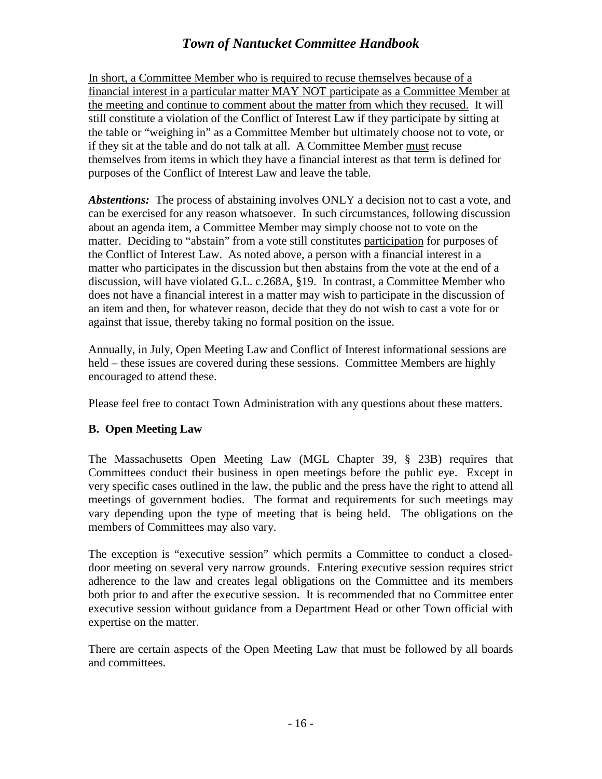In short, a Committee Member who is required to recuse themselves because of a financial interest in a particular matter MAY NOT participate as a Committee Member at the meeting and continue to comment about the matter from which they recused. It will still constitute a violation of the Conflict of Interest Law if they participate by sitting at the table or "weighing in" as a Committee Member but ultimately choose not to vote, or if they sit at the table and do not talk at all. A Committee Member must recuse themselves from items in which they have a financial interest as that term is defined for purposes of the Conflict of Interest Law and leave the table.

*Abstentions:* The process of abstaining involves ONLY a decision not to cast a vote, and can be exercised for any reason whatsoever. In such circumstances, following discussion about an agenda item, a Committee Member may simply choose not to vote on the matter. Deciding to "abstain" from a vote still constitutes participation for purposes of the Conflict of Interest Law. As noted above, a person with a financial interest in a matter who participates in the discussion but then abstains from the vote at the end of a discussion, will have violated G.L. c.268A, §19. In contrast, a Committee Member who does not have a financial interest in a matter may wish to participate in the discussion of an item and then, for whatever reason, decide that they do not wish to cast a vote for or against that issue, thereby taking no formal position on the issue.

Annually, in July, Open Meeting Law and Conflict of Interest informational sessions are held – these issues are covered during these sessions. Committee Members are highly encouraged to attend these.

Please feel free to contact Town Administration with any questions about these matters.

#### <span id="page-17-0"></span>**B. Open Meeting Law**

The Massachusetts Open Meeting Law (MGL Chapter 39, § 23B) requires that Committees conduct their business in open meetings before the public eye. Except in very specific cases outlined in the law, the public and the press have the right to attend all meetings of government bodies. The format and requirements for such meetings may vary depending upon the type of meeting that is being held. The obligations on the members of Committees may also vary.

The exception is "executive session" which permits a Committee to conduct a closeddoor meeting on several very narrow grounds. Entering executive session requires strict adherence to the law and creates legal obligations on the Committee and its members both prior to and after the executive session. It is recommended that no Committee enter executive session without guidance from a Department Head or other Town official with expertise on the matter.

There are certain aspects of the Open Meeting Law that must be followed by all boards and committees.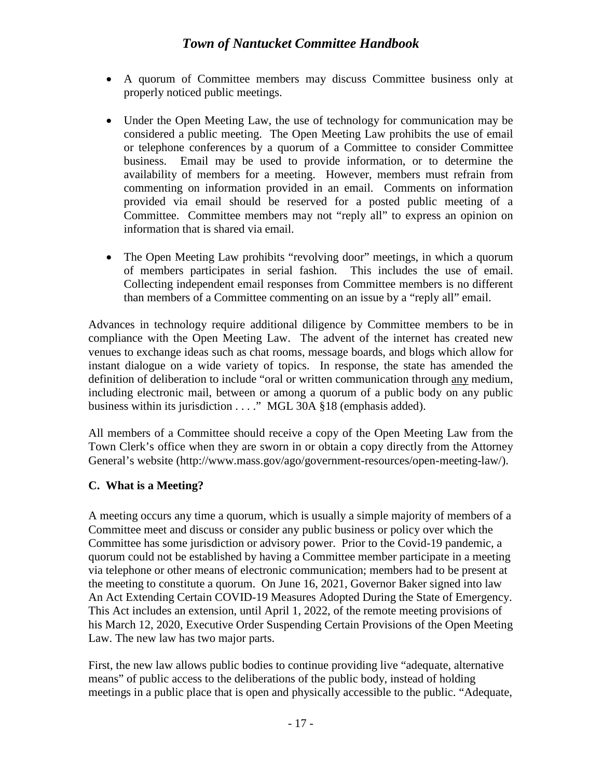- A quorum of Committee members may discuss Committee business only at properly noticed public meetings.
- Under the Open Meeting Law, the use of technology for communication may be considered a public meeting. The Open Meeting Law prohibits the use of email or telephone conferences by a quorum of a Committee to consider Committee business. Email may be used to provide information, or to determine the availability of members for a meeting. However, members must refrain from commenting on information provided in an email. Comments on information provided via email should be reserved for a posted public meeting of a Committee. Committee members may not "reply all" to express an opinion on information that is shared via email.
- The Open Meeting Law prohibits "revolving door" meetings, in which a quorum of members participates in serial fashion. This includes the use of email. Collecting independent email responses from Committee members is no different than members of a Committee commenting on an issue by a "reply all" email.

Advances in technology require additional diligence by Committee members to be in compliance with the Open Meeting Law. The advent of the internet has created new venues to exchange ideas such as chat rooms, message boards, and blogs which allow for instant dialogue on a wide variety of topics. In response, the state has amended the definition of deliberation to include "oral or written communication through any medium, including electronic mail, between or among a quorum of a public body on any public business within its jurisdiction . . . ." MGL 30A §18 (emphasis added).

All members of a Committee should receive a copy of the Open Meeting Law from the Town Clerk's office when they are sworn in or obtain a copy directly from the Attorney General's website (http://www.mass.gov/ago/government-resources/open-meeting-law/).

## <span id="page-18-0"></span>**C. What is a Meeting?**

A meeting occurs any time a quorum, which is usually a simple majority of members of a Committee meet and discuss or consider any public business or policy over which the Committee has some jurisdiction or advisory power. Prior to the Covid-19 pandemic, a quorum could not be established by having a Committee member participate in a meeting via telephone or other means of electronic communication; members had to be present at the meeting to constitute a quorum. On June 16, 2021, Governor Baker signed into law An Act Extending Certain COVID-19 Measures Adopted During the State of Emergency. This Act includes an extension, until April 1, 2022, of the remote meeting provisions of his March 12, 2020, Executive Order Suspending Certain Provisions of the Open Meeting Law. The new law has two major parts.

First, the new law allows public bodies to continue providing live "adequate, alternative means" of public access to the deliberations of the public body, instead of holding meetings in a public place that is open and physically accessible to the public. "Adequate,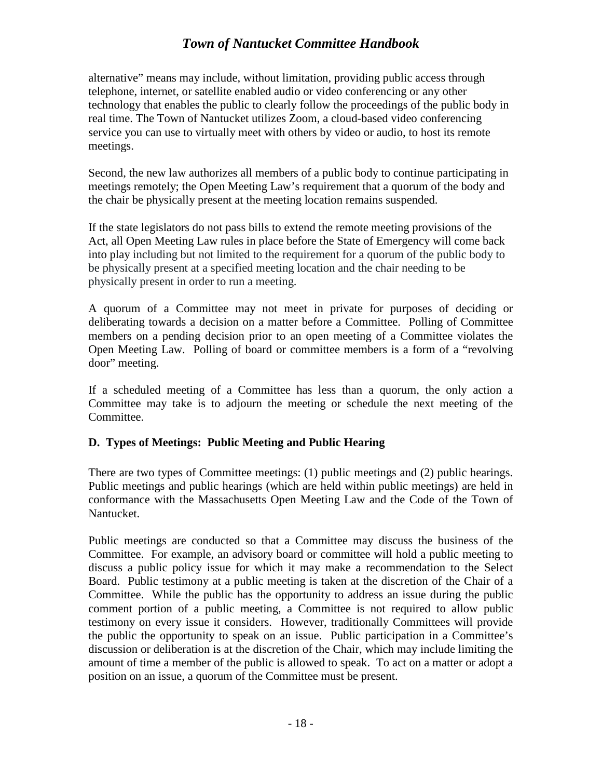alternative" means may include, without limitation, providing public access through telephone, internet, or satellite enabled audio or video conferencing or any other technology that enables the public to clearly follow the proceedings of the public body in real time. The Town of Nantucket utilizes Zoom, a cloud-based video conferencing service you can use to virtually meet with others by video or audio, to host its remote meetings.

Second, the new law authorizes all members of a public body to continue participating in meetings remotely; the Open Meeting Law's requirement that a quorum of the body and the chair be physically present at the meeting location remains suspended.

If the state legislators do not pass bills to extend the remote meeting provisions of the Act, all Open Meeting Law rules in place before the State of Emergency will come back into play including but not limited to the requirement for a quorum of the public body to be physically present at a specified meeting location and the chair needing to be physically present in order to run a meeting.

A quorum of a Committee may not meet in private for purposes of deciding or deliberating towards a decision on a matter before a Committee. Polling of Committee members on a pending decision prior to an open meeting of a Committee violates the Open Meeting Law. Polling of board or committee members is a form of a "revolving door" meeting.

If a scheduled meeting of a Committee has less than a quorum, the only action a Committee may take is to adjourn the meeting or schedule the next meeting of the Committee.

## <span id="page-19-0"></span>**D. Types of Meetings: Public Meeting and Public Hearing**

There are two types of Committee meetings: (1) public meetings and (2) public hearings. Public meetings and public hearings (which are held within public meetings) are held in conformance with the Massachusetts Open Meeting Law and the Code of the Town of Nantucket.

Public meetings are conducted so that a Committee may discuss the business of the Committee. For example, an advisory board or committee will hold a public meeting to discuss a public policy issue for which it may make a recommendation to the Select Board. Public testimony at a public meeting is taken at the discretion of the Chair of a Committee. While the public has the opportunity to address an issue during the public comment portion of a public meeting, a Committee is not required to allow public testimony on every issue it considers. However, traditionally Committees will provide the public the opportunity to speak on an issue. Public participation in a Committee's discussion or deliberation is at the discretion of the Chair, which may include limiting the amount of time a member of the public is allowed to speak. To act on a matter or adopt a position on an issue, a quorum of the Committee must be present.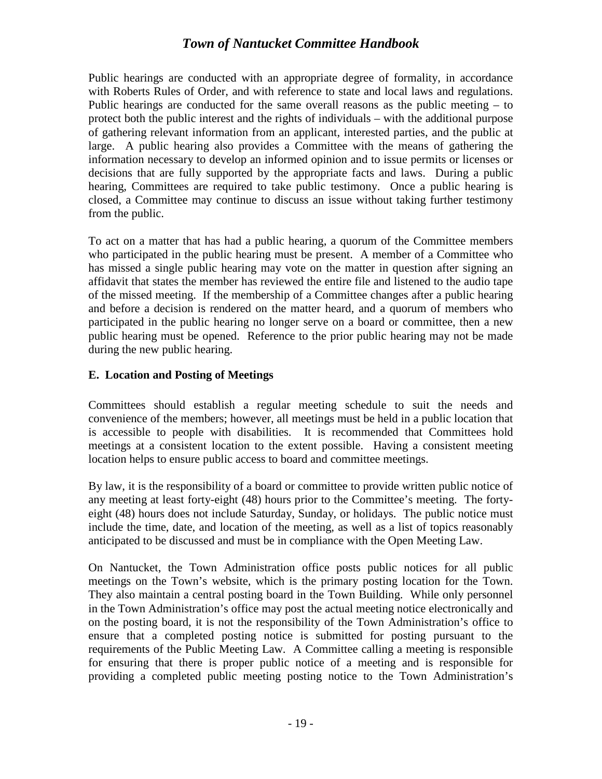Public hearings are conducted with an appropriate degree of formality, in accordance with Roberts Rules of Order, and with reference to state and local laws and regulations. Public hearings are conducted for the same overall reasons as the public meeting – to protect both the public interest and the rights of individuals – with the additional purpose of gathering relevant information from an applicant, interested parties, and the public at large. A public hearing also provides a Committee with the means of gathering the information necessary to develop an informed opinion and to issue permits or licenses or decisions that are fully supported by the appropriate facts and laws. During a public hearing, Committees are required to take public testimony. Once a public hearing is closed, a Committee may continue to discuss an issue without taking further testimony from the public.

To act on a matter that has had a public hearing, a quorum of the Committee members who participated in the public hearing must be present. A member of a Committee who has missed a single public hearing may vote on the matter in question after signing an affidavit that states the member has reviewed the entire file and listened to the audio tape of the missed meeting. If the membership of a Committee changes after a public hearing and before a decision is rendered on the matter heard, and a quorum of members who participated in the public hearing no longer serve on a board or committee, then a new public hearing must be opened. Reference to the prior public hearing may not be made during the new public hearing.

#### <span id="page-20-0"></span>**E. Location and Posting of Meetings**

Committees should establish a regular meeting schedule to suit the needs and convenience of the members; however, all meetings must be held in a public location that is accessible to people with disabilities. It is recommended that Committees hold meetings at a consistent location to the extent possible. Having a consistent meeting location helps to ensure public access to board and committee meetings.

By law, it is the responsibility of a board or committee to provide written public notice of any meeting at least forty-eight (48) hours prior to the Committee's meeting. The fortyeight (48) hours does not include Saturday, Sunday, or holidays. The public notice must include the time, date, and location of the meeting, as well as a list of topics reasonably anticipated to be discussed and must be in compliance with the Open Meeting Law.

On Nantucket, the Town Administration office posts public notices for all public meetings on the Town's website, which is the primary posting location for the Town. They also maintain a central posting board in the Town Building. While only personnel in the Town Administration's office may post the actual meeting notice electronically and on the posting board, it is not the responsibility of the Town Administration's office to ensure that a completed posting notice is submitted for posting pursuant to the requirements of the Public Meeting Law. A Committee calling a meeting is responsible for ensuring that there is proper public notice of a meeting and is responsible for providing a completed public meeting posting notice to the Town Administration's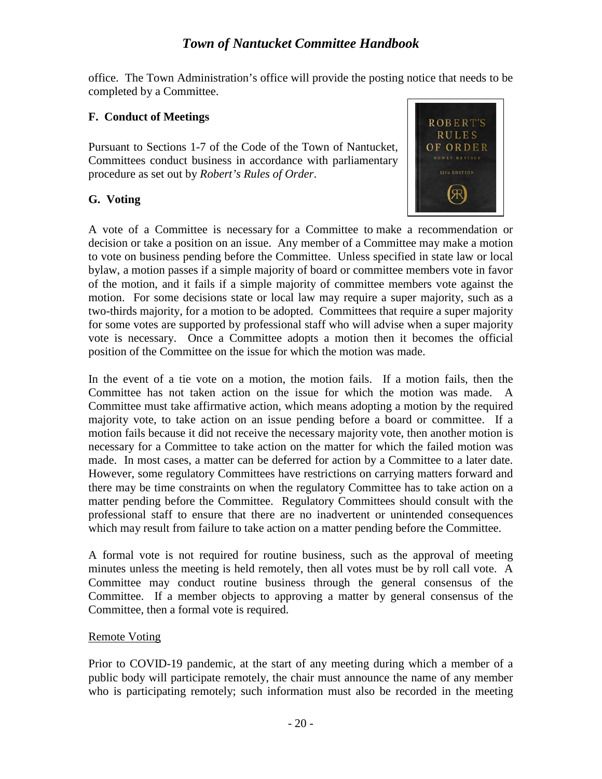office. The Town Administration's office will provide the posting notice that needs to be completed by a Committee.

#### <span id="page-21-0"></span>**F. Conduct of Meetings**

Pursuant to Sections 1-7 of the Code of the Town of Nantucket, Committees conduct business in accordance with parliamentary procedure as set out by *Robert's Rules of Order*.

#### <span id="page-21-1"></span>**G. Voting**



A vote of a Committee is necessary for a Committee to make a recommendation or decision or take a position on an issue. Any member of a Committee may make a motion to vote on business pending before the Committee. Unless specified in state law or local bylaw, a motion passes if a simple majority of board or committee members vote in favor of the motion, and it fails if a simple majority of committee members vote against the motion. For some decisions state or local law may require a super majority, such as a two-thirds majority, for a motion to be adopted. Committees that require a super majority for some votes are supported by professional staff who will advise when a super majority vote is necessary. Once a Committee adopts a motion then it becomes the official position of the Committee on the issue for which the motion was made.

In the event of a tie vote on a motion, the motion fails. If a motion fails, then the Committee has not taken action on the issue for which the motion was made. A Committee must take affirmative action, which means adopting a motion by the required majority vote, to take action on an issue pending before a board or committee. If a motion fails because it did not receive the necessary majority vote, then another motion is necessary for a Committee to take action on the matter for which the failed motion was made. In most cases, a matter can be deferred for action by a Committee to a later date. However, some regulatory Committees have restrictions on carrying matters forward and there may be time constraints on when the regulatory Committee has to take action on a matter pending before the Committee. Regulatory Committees should consult with the professional staff to ensure that there are no inadvertent or unintended consequences which may result from failure to take action on a matter pending before the Committee.

A formal vote is not required for routine business, such as the approval of meeting minutes unless the meeting is held remotely, then all votes must be by roll call vote. A Committee may conduct routine business through the general consensus of the Committee. If a member objects to approving a matter by general consensus of the Committee, then a formal vote is required.

#### Remote Voting

Prior to COVID-19 pandemic, at the start of any meeting during which a member of a public body will participate remotely, the chair must announce the name of any member who is participating remotely; such information must also be recorded in the meeting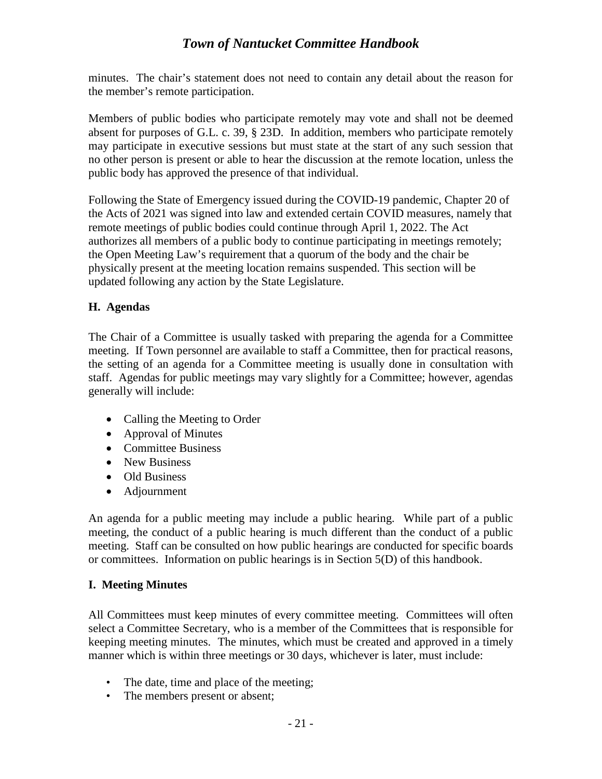minutes. The chair's statement does not need to contain any detail about the reason for the member's remote participation.

Members of public bodies who participate remotely may vote and shall not be deemed absent for purposes of G.L. c. 39, § 23D. In addition, members who participate remotely may participate in executive sessions but must state at the start of any such session that no other person is present or able to hear the discussion at the remote location, unless the public body has approved the presence of that individual.

Following the State of Emergency issued during the COVID-19 pandemic, Chapter 20 of the Acts of 2021 was signed into law and extended certain COVID measures, namely that remote meetings of public bodies could continue through April 1, 2022. The Act authorizes all members of a public body to continue participating in meetings remotely; the Open Meeting Law's requirement that a quorum of the body and the chair be physically present at the meeting location remains suspended. This section will be updated following any action by the State Legislature.

#### <span id="page-22-0"></span>**H. Agendas**

The Chair of a Committee is usually tasked with preparing the agenda for a Committee meeting. If Town personnel are available to staff a Committee, then for practical reasons, the setting of an agenda for a Committee meeting is usually done in consultation with staff. Agendas for public meetings may vary slightly for a Committee; however, agendas generally will include:

- Calling the Meeting to Order
- Approval of Minutes
- Committee Business
- New Business
- Old Business
- Adjournment

An agenda for a public meeting may include a public hearing. While part of a public meeting, the conduct of a public hearing is much different than the conduct of a public meeting. Staff can be consulted on how public hearings are conducted for specific boards or committees. Information on public hearings is in Section 5(D) of this handbook.

#### <span id="page-22-1"></span>**I. Meeting Minutes**

All Committees must keep minutes of every committee meeting. Committees will often select a Committee Secretary, who is a member of the Committees that is responsible for keeping meeting minutes. The minutes, which must be created and approved in a timely manner which is within three meetings or 30 days, whichever is later, must include:

- The date, time and place of the meeting;
- The members present or absent;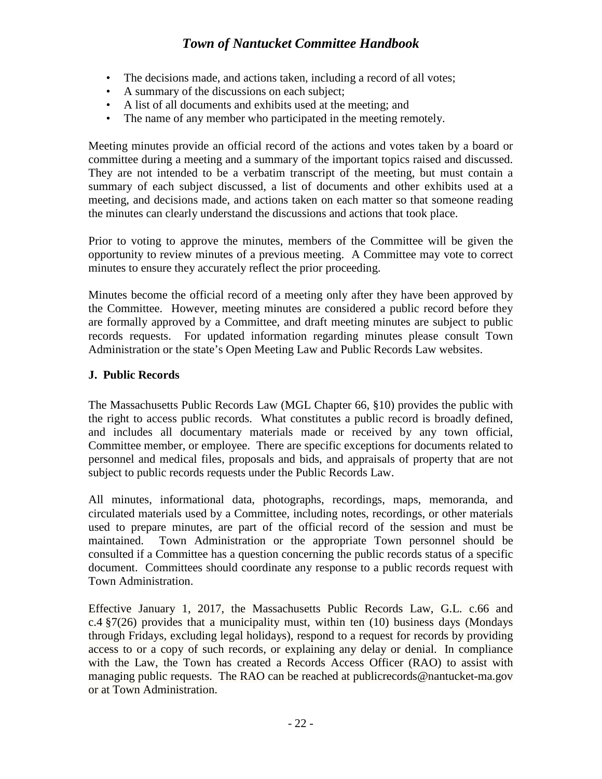- The decisions made, and actions taken, including a record of all votes;
- A summary of the discussions on each subject;
- A list of all documents and exhibits used at the meeting; and
- The name of any member who participated in the meeting remotely.

Meeting minutes provide an official record of the actions and votes taken by a board or committee during a meeting and a summary of the important topics raised and discussed. They are not intended to be a verbatim transcript of the meeting, but must contain a summary of each subject discussed, a list of documents and other exhibits used at a meeting, and decisions made, and actions taken on each matter so that someone reading the minutes can clearly understand the discussions and actions that took place.

Prior to voting to approve the minutes, members of the Committee will be given the opportunity to review minutes of a previous meeting. A Committee may vote to correct minutes to ensure they accurately reflect the prior proceeding.

Minutes become the official record of a meeting only after they have been approved by the Committee. However, meeting minutes are considered a public record before they are formally approved by a Committee, and draft meeting minutes are subject to public records requests. For updated information regarding minutes please consult Town Administration or the state's Open Meeting Law and Public Records Law websites.

#### <span id="page-23-0"></span>**J. Public Records**

The Massachusetts Public Records Law (MGL Chapter 66, §10) provides the public with the right to access public records. What constitutes a public record is broadly defined, and includes all documentary materials made or received by any town official, Committee member, or employee. There are specific exceptions for documents related to personnel and medical files, proposals and bids, and appraisals of property that are not subject to public records requests under the Public Records Law.

All minutes, informational data, photographs, recordings, maps, memoranda, and circulated materials used by a Committee, including notes, recordings, or other materials used to prepare minutes, are part of the official record of the session and must be maintained. Town Administration or the appropriate Town personnel should be consulted if a Committee has a question concerning the public records status of a specific document. Committees should coordinate any response to a public records request with Town Administration.

Effective January 1, 2017, the Massachusetts Public Records Law, G.L. c.66 and  $c.4 \frac{87}{26}$ ) provides that a municipality must, within ten (10) business days (Mondays through Fridays, excluding legal holidays), respond to a request for records by providing access to or a copy of such records, or explaining any delay or denial. In compliance with the Law, the Town has created a Records Access Officer (RAO) to assist with managing public requests. The RAO can be reached at publicrecords@nantucket-ma.gov or at Town Administration.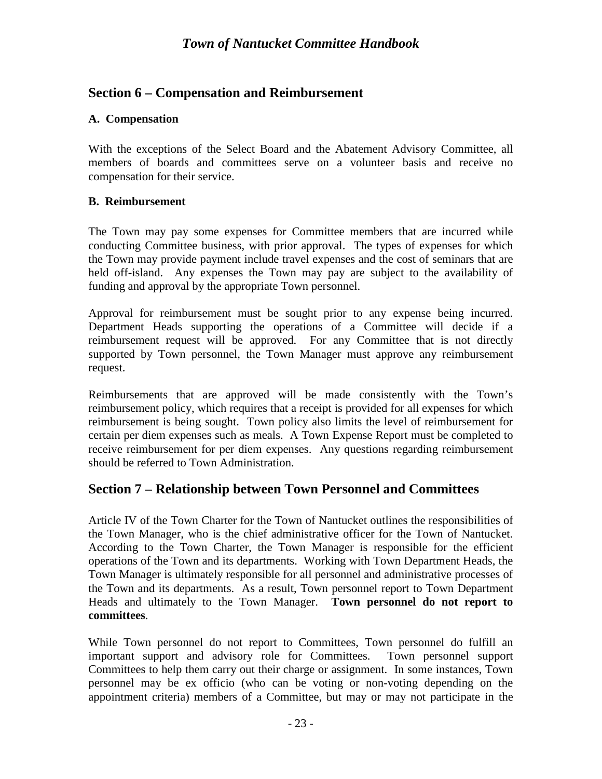## <span id="page-24-0"></span>**Section 6 – Compensation and Reimbursement**

#### <span id="page-24-1"></span>**A. Compensation**

With the exceptions of the Select Board and the Abatement Advisory Committee, all members of boards and committees serve on a volunteer basis and receive no compensation for their service.

#### <span id="page-24-2"></span>**B. Reimbursement**

The Town may pay some expenses for Committee members that are incurred while conducting Committee business, with prior approval. The types of expenses for which the Town may provide payment include travel expenses and the cost of seminars that are held off-island. Any expenses the Town may pay are subject to the availability of funding and approval by the appropriate Town personnel.

Approval for reimbursement must be sought prior to any expense being incurred. Department Heads supporting the operations of a Committee will decide if a reimbursement request will be approved. For any Committee that is not directly supported by Town personnel, the Town Manager must approve any reimbursement request.

Reimbursements that are approved will be made consistently with the Town's reimbursement policy, which requires that a receipt is provided for all expenses for which reimbursement is being sought. Town policy also limits the level of reimbursement for certain per diem expenses such as meals. A Town Expense Report must be completed to receive reimbursement for per diem expenses. Any questions regarding reimbursement should be referred to Town Administration.

## <span id="page-24-3"></span>**Section 7 – Relationship between Town Personnel and Committees**

Article IV of the Town Charter for the Town of Nantucket outlines the responsibilities of the Town Manager, who is the chief administrative officer for the Town of Nantucket. According to the Town Charter, the Town Manager is responsible for the efficient operations of the Town and its departments. Working with Town Department Heads, the Town Manager is ultimately responsible for all personnel and administrative processes of the Town and its departments. As a result, Town personnel report to Town Department Heads and ultimately to the Town Manager. **Town personnel do not report to committees**.

While Town personnel do not report to Committees, Town personnel do fulfill an important support and advisory role for Committees. Town personnel support Committees to help them carry out their charge or assignment. In some instances, Town personnel may be ex officio (who can be voting or non-voting depending on the appointment criteria) members of a Committee, but may or may not participate in the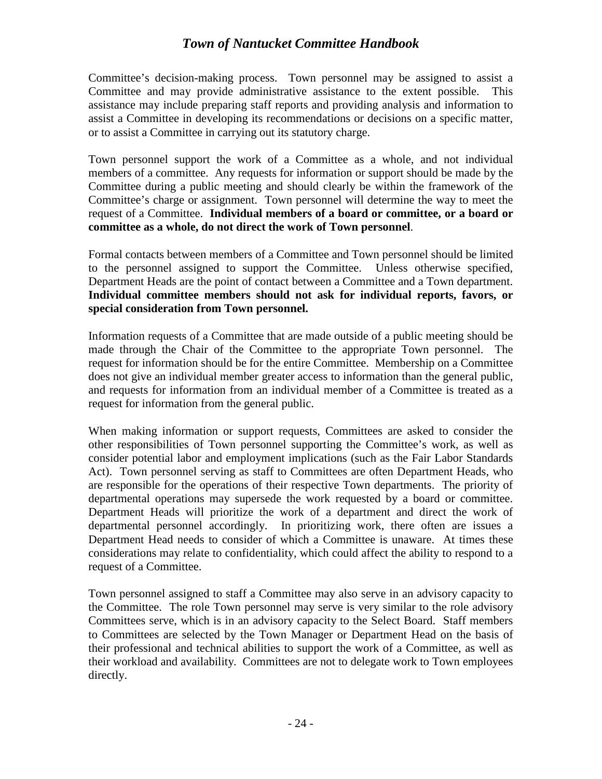Committee's decision-making process. Town personnel may be assigned to assist a Committee and may provide administrative assistance to the extent possible. This assistance may include preparing staff reports and providing analysis and information to assist a Committee in developing its recommendations or decisions on a specific matter, or to assist a Committee in carrying out its statutory charge.

Town personnel support the work of a Committee as a whole, and not individual members of a committee. Any requests for information or support should be made by the Committee during a public meeting and should clearly be within the framework of the Committee's charge or assignment. Town personnel will determine the way to meet the request of a Committee. **Individual members of a board or committee, or a board or committee as a whole, do not direct the work of Town personnel**.

Formal contacts between members of a Committee and Town personnel should be limited to the personnel assigned to support the Committee. Unless otherwise specified, Department Heads are the point of contact between a Committee and a Town department. **Individual committee members should not ask for individual reports, favors, or special consideration from Town personnel.** 

Information requests of a Committee that are made outside of a public meeting should be made through the Chair of the Committee to the appropriate Town personnel. The request for information should be for the entire Committee. Membership on a Committee does not give an individual member greater access to information than the general public, and requests for information from an individual member of a Committee is treated as a request for information from the general public.

When making information or support requests, Committees are asked to consider the other responsibilities of Town personnel supporting the Committee's work, as well as consider potential labor and employment implications (such as the Fair Labor Standards Act). Town personnel serving as staff to Committees are often Department Heads, who are responsible for the operations of their respective Town departments. The priority of departmental operations may supersede the work requested by a board or committee. Department Heads will prioritize the work of a department and direct the work of departmental personnel accordingly. In prioritizing work, there often are issues a Department Head needs to consider of which a Committee is unaware. At times these considerations may relate to confidentiality, which could affect the ability to respond to a request of a Committee.

Town personnel assigned to staff a Committee may also serve in an advisory capacity to the Committee. The role Town personnel may serve is very similar to the role advisory Committees serve, which is in an advisory capacity to the Select Board. Staff members to Committees are selected by the Town Manager or Department Head on the basis of their professional and technical abilities to support the work of a Committee, as well as their workload and availability. Committees are not to delegate work to Town employees directly.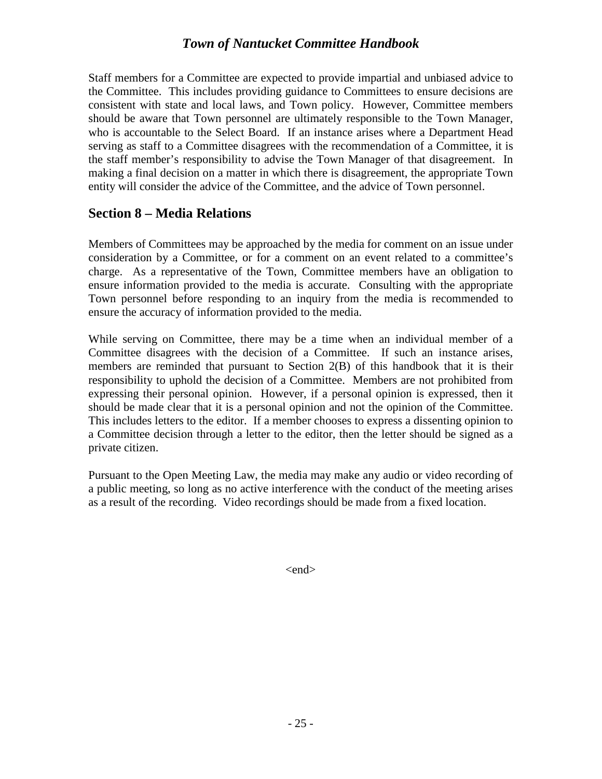Staff members for a Committee are expected to provide impartial and unbiased advice to the Committee. This includes providing guidance to Committees to ensure decisions are consistent with state and local laws, and Town policy. However, Committee members should be aware that Town personnel are ultimately responsible to the Town Manager, who is accountable to the Select Board. If an instance arises where a Department Head serving as staff to a Committee disagrees with the recommendation of a Committee, it is the staff member's responsibility to advise the Town Manager of that disagreement. In making a final decision on a matter in which there is disagreement, the appropriate Town entity will consider the advice of the Committee, and the advice of Town personnel.

## <span id="page-26-0"></span>**Section 8 – Media Relations**

Members of Committees may be approached by the media for comment on an issue under consideration by a Committee, or for a comment on an event related to a committee's charge. As a representative of the Town, Committee members have an obligation to ensure information provided to the media is accurate. Consulting with the appropriate Town personnel before responding to an inquiry from the media is recommended to ensure the accuracy of information provided to the media.

While serving on Committee, there may be a time when an individual member of a Committee disagrees with the decision of a Committee. If such an instance arises, members are reminded that pursuant to Section 2(B) of this handbook that it is their responsibility to uphold the decision of a Committee. Members are not prohibited from expressing their personal opinion. However, if a personal opinion is expressed, then it should be made clear that it is a personal opinion and not the opinion of the Committee. This includes letters to the editor. If a member chooses to express a dissenting opinion to a Committee decision through a letter to the editor, then the letter should be signed as a private citizen.

Pursuant to the Open Meeting Law, the media may make any audio or video recording of a public meeting, so long as no active interference with the conduct of the meeting arises as a result of the recording. Video recordings should be made from a fixed location.

<end>